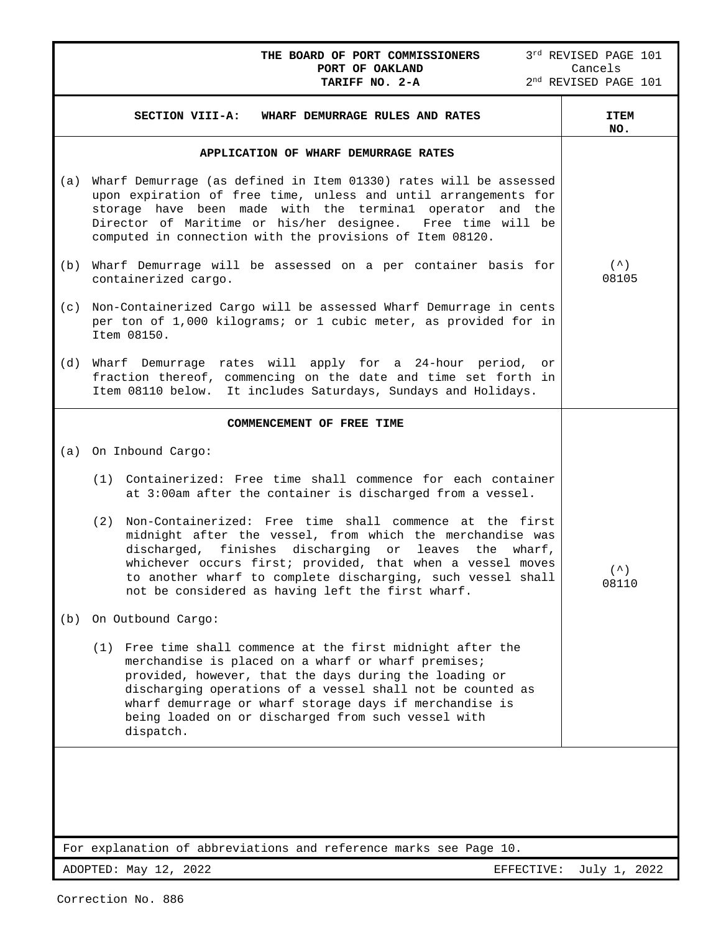|     | THE BOARD OF PORT COMMISSIONERS<br>PORT OF OAKLAND<br>TARIFF NO. 2-A                                                                                                                                                                                                                                                                                                                | 3rd REVISED PAGE 101<br>Cancels<br>$2^{\rm nd}$ REVISED PAGE 101 |
|-----|-------------------------------------------------------------------------------------------------------------------------------------------------------------------------------------------------------------------------------------------------------------------------------------------------------------------------------------------------------------------------------------|------------------------------------------------------------------|
|     | SECTION VIII-A:<br>WHARF DEMURRAGE RULES AND RATES                                                                                                                                                                                                                                                                                                                                  | <b>ITEM</b><br>NO.                                               |
|     | <b>APPLICATION OF WHARF DEMURRAGE RATES</b>                                                                                                                                                                                                                                                                                                                                         |                                                                  |
| (a) | Wharf Demurrage (as defined in Item 01330) rates will be assessed<br>upon expiration of free time, unless and until arrangements for<br>storage have been made with the terminal operator and the<br>Director of Maritime or his/her designee. Free time will be<br>computed in connection with the provisions of Item 08120.                                                       |                                                                  |
| (b) | Wharf Demurrage will be assessed on a per container basis for<br>containerized cargo.                                                                                                                                                                                                                                                                                               | $($ $\hat{\ })$<br>08105                                         |
| (c) | Non-Containerized Cargo will be assessed Wharf Demurrage in cents<br>per ton of 1,000 kilograms; or 1 cubic meter, as provided for in<br>Item 08150.                                                                                                                                                                                                                                |                                                                  |
| (d) | Wharf Demurrage rates will apply for a 24-hour period, or<br>fraction thereof, commencing on the date and time set forth in<br>Item 08110 below. It includes Saturdays, Sundays and Holidays.                                                                                                                                                                                       |                                                                  |
|     | COMMENCEMENT OF FREE TIME                                                                                                                                                                                                                                                                                                                                                           |                                                                  |
| (a) | On Inbound Cargo:                                                                                                                                                                                                                                                                                                                                                                   |                                                                  |
|     | (1) Containerized: Free time shall commence for each container<br>at 3:00am after the container is discharged from a vessel.                                                                                                                                                                                                                                                        |                                                                  |
|     | Non-Containerized: Free time shall commence at the first<br>(2)<br>midnight after the vessel, from which the merchandise was<br>discharged, finishes discharging<br>or<br>leaves<br>the<br>wharf,<br>whichever occurs first; provided, that when a vessel moves<br>to another wharf to complete discharging, such vessel shall<br>not be considered as having left the first wharf. | $($ $\wedge$ $)$<br>08110                                        |
| (b) | On Outbound Cargo:                                                                                                                                                                                                                                                                                                                                                                  |                                                                  |
|     | (1) Free time shall commence at the first midnight after the<br>merchandise is placed on a wharf or wharf premises;<br>provided, however, that the days during the loading or<br>discharging operations of a vessel shall not be counted as<br>wharf demurrage or wharf storage days if merchandise is<br>being loaded on or discharged from such vessel with<br>dispatch.          |                                                                  |
|     | For explanation of abbreviations and reference marks see Page 10.                                                                                                                                                                                                                                                                                                                   |                                                                  |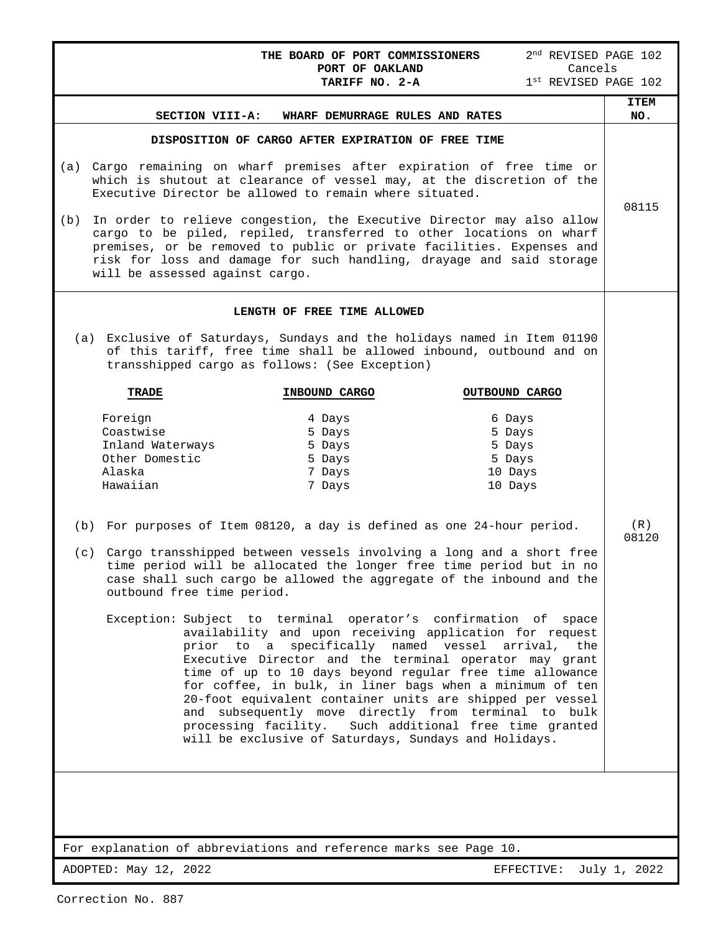|                                                                                                                                                                                                                                                                                                                                                                                                                                                                                                                                                                                                                                                                                                                                                                                                                                                                                                                                                                                                                                                                                                                            | 2 <sup>nd</sup> REVISED PAGE 102<br>THE BOARD OF PORT COMMISSIONERS                                                                                                                                                                                                                           |                    |  |  |
|----------------------------------------------------------------------------------------------------------------------------------------------------------------------------------------------------------------------------------------------------------------------------------------------------------------------------------------------------------------------------------------------------------------------------------------------------------------------------------------------------------------------------------------------------------------------------------------------------------------------------------------------------------------------------------------------------------------------------------------------------------------------------------------------------------------------------------------------------------------------------------------------------------------------------------------------------------------------------------------------------------------------------------------------------------------------------------------------------------------------------|-----------------------------------------------------------------------------------------------------------------------------------------------------------------------------------------------------------------------------------------------------------------------------------------------|--------------------|--|--|
|                                                                                                                                                                                                                                                                                                                                                                                                                                                                                                                                                                                                                                                                                                                                                                                                                                                                                                                                                                                                                                                                                                                            | Cancels<br>PORT OF OAKLAND<br>1st REVISED PAGE 102<br>TARIFF NO. 2-A                                                                                                                                                                                                                          |                    |  |  |
| SECTION VIII-A:                                                                                                                                                                                                                                                                                                                                                                                                                                                                                                                                                                                                                                                                                                                                                                                                                                                                                                                                                                                                                                                                                                            | WHARF DEMURRAGE RULES AND RATES                                                                                                                                                                                                                                                               | <b>ITEM</b><br>NO. |  |  |
| DISPOSITION OF CARGO AFTER EXPIRATION OF FREE TIME                                                                                                                                                                                                                                                                                                                                                                                                                                                                                                                                                                                                                                                                                                                                                                                                                                                                                                                                                                                                                                                                         |                                                                                                                                                                                                                                                                                               |                    |  |  |
| (a)<br>Executive Director be allowed to remain where situated.                                                                                                                                                                                                                                                                                                                                                                                                                                                                                                                                                                                                                                                                                                                                                                                                                                                                                                                                                                                                                                                             | Cargo remaining on wharf premises after expiration of free time or<br>which is shutout at clearance of vessel may, at the discretion of the                                                                                                                                                   | 08115              |  |  |
| (b)<br>will be assessed against cargo.                                                                                                                                                                                                                                                                                                                                                                                                                                                                                                                                                                                                                                                                                                                                                                                                                                                                                                                                                                                                                                                                                     | In order to relieve congestion, the Executive Director may also allow<br>cargo to be piled, repiled, transferred to other locations on wharf<br>premises, or be removed to public or private facilities. Expenses and<br>risk for loss and damage for such handling, drayage and said storage |                    |  |  |
| LENGTH OF FREE TIME ALLOWED                                                                                                                                                                                                                                                                                                                                                                                                                                                                                                                                                                                                                                                                                                                                                                                                                                                                                                                                                                                                                                                                                                |                                                                                                                                                                                                                                                                                               |                    |  |  |
| transshipped cargo as follows: (See Exception)                                                                                                                                                                                                                                                                                                                                                                                                                                                                                                                                                                                                                                                                                                                                                                                                                                                                                                                                                                                                                                                                             | (a) Exclusive of Saturdays, Sundays and the holidays named in Item 01190<br>of this tariff, free time shall be allowed inbound, outbound and on                                                                                                                                               |                    |  |  |
| <b>TRADE</b>                                                                                                                                                                                                                                                                                                                                                                                                                                                                                                                                                                                                                                                                                                                                                                                                                                                                                                                                                                                                                                                                                                               | OUTBOUND CARGO                                                                                                                                                                                                                                                                                |                    |  |  |
| INBOUND CARGO<br>Foreign<br>4 Days<br>6 Days<br>Coastwise<br>5 Days<br>5 Days<br>Inland Waterways<br>5 Days<br>5 Days<br>Other Domestic<br>5 Days<br>5 Days<br>Alaska<br>7 Days<br>10 Days<br>Hawaiian<br>7 Days<br>10 Days<br>For purposes of Item 08120, a day is defined as one 24-hour period.<br>(b)<br>(c) Cargo transshipped between vessels involving a long and a short free<br>time period will be allocated the longer free time period but in no<br>case shall such cargo be allowed the aggregate of the inbound and the<br>outbound free time period.<br>Exception: Subject to terminal operator's confirmation of space<br>availability and upon receiving application for request<br>prior to a specifically named vessel arrival,<br>the<br>Executive Director and the terminal operator may grant<br>time of up to 10 days beyond regular free time allowance<br>for coffee, in bulk, in liner bags when a minimum of ten<br>20-foot equivalent container units are shipped per vessel<br>and subsequently move directly from terminal to bulk<br>processing facility. Such additional free time granted |                                                                                                                                                                                                                                                                                               |                    |  |  |
|                                                                                                                                                                                                                                                                                                                                                                                                                                                                                                                                                                                                                                                                                                                                                                                                                                                                                                                                                                                                                                                                                                                            |                                                                                                                                                                                                                                                                                               |                    |  |  |
|                                                                                                                                                                                                                                                                                                                                                                                                                                                                                                                                                                                                                                                                                                                                                                                                                                                                                                                                                                                                                                                                                                                            |                                                                                                                                                                                                                                                                                               |                    |  |  |
| For explanation of abbreviations and reference marks see Page 10.                                                                                                                                                                                                                                                                                                                                                                                                                                                                                                                                                                                                                                                                                                                                                                                                                                                                                                                                                                                                                                                          |                                                                                                                                                                                                                                                                                               |                    |  |  |
| ADOPTED: May 12, 2022                                                                                                                                                                                                                                                                                                                                                                                                                                                                                                                                                                                                                                                                                                                                                                                                                                                                                                                                                                                                                                                                                                      | EFFECTIVE:                                                                                                                                                                                                                                                                                    | July 1, 2022       |  |  |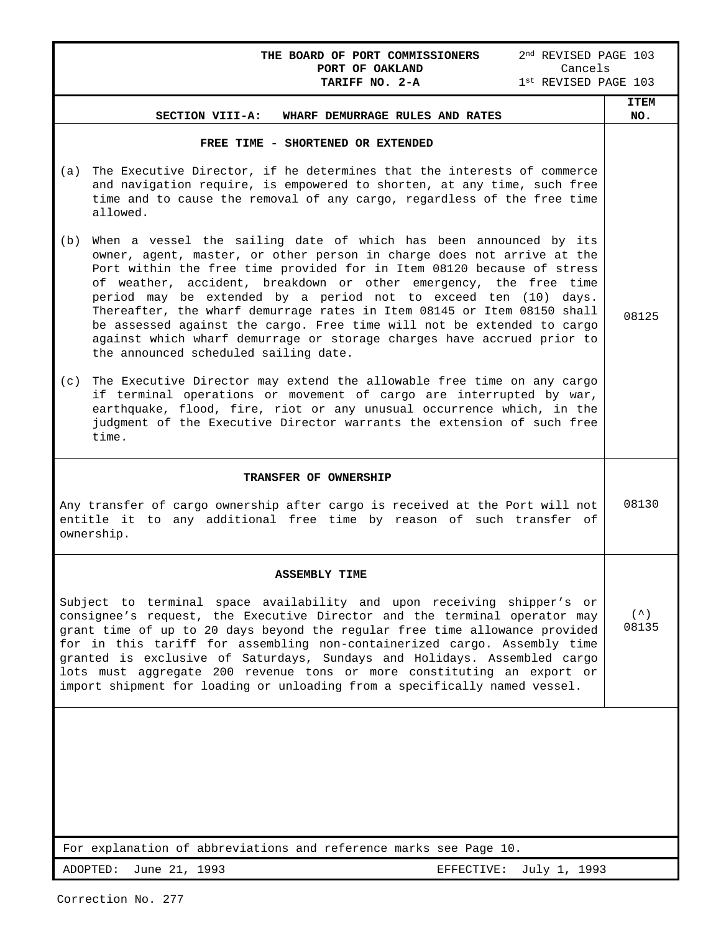| 2 <sup>nd</sup> REVISED PAGE 103<br>THE BOARD OF PORT COMMISSIONERS<br>Cancels<br>PORT OF OAKLAND                                                                                                                                                                                                                                                                                                                                                                                                                                                                                                                                               |                    |  |  |  |  |
|-------------------------------------------------------------------------------------------------------------------------------------------------------------------------------------------------------------------------------------------------------------------------------------------------------------------------------------------------------------------------------------------------------------------------------------------------------------------------------------------------------------------------------------------------------------------------------------------------------------------------------------------------|--------------------|--|--|--|--|
| $1st$ REVISED PAGE $103$<br>TARIFF NO. 2-A                                                                                                                                                                                                                                                                                                                                                                                                                                                                                                                                                                                                      |                    |  |  |  |  |
| SECTION VIII-A:<br>WHARF DEMURRAGE RULES AND RATES                                                                                                                                                                                                                                                                                                                                                                                                                                                                                                                                                                                              | <b>ITEM</b><br>NO. |  |  |  |  |
| FREE TIME - SHORTENED OR EXTENDED                                                                                                                                                                                                                                                                                                                                                                                                                                                                                                                                                                                                               |                    |  |  |  |  |
| The Executive Director, if he determines that the interests of commerce<br>(a)<br>and navigation require, is empowered to shorten, at any time, such free<br>time and to cause the removal of any cargo, regardless of the free time<br>allowed.                                                                                                                                                                                                                                                                                                                                                                                                |                    |  |  |  |  |
| When a vessel the sailing date of which has been announced by its<br>(b)<br>owner, agent, master, or other person in charge does not arrive at the<br>Port within the free time provided for in Item 08120 because of stress<br>of weather, accident, breakdown or other emergency, the free time<br>period may be extended by a period not to exceed ten (10)<br>days.<br>Thereafter, the wharf demurrage rates in Item 08145 or Item 08150 shall<br>be assessed against the cargo. Free time will not be extended to cargo<br>against which wharf demurrage or storage charges have accrued prior to<br>the announced scheduled sailing date. | 08125              |  |  |  |  |
| The Executive Director may extend the allowable free time on any cargo<br>(c)<br>if terminal operations or movement of cargo are interrupted by war,<br>earthquake, flood, fire, riot or any unusual occurrence which, in the<br>judgment of the Executive Director warrants the extension of such free<br>time.                                                                                                                                                                                                                                                                                                                                |                    |  |  |  |  |
| TRANSFER OF OWNERSHIP                                                                                                                                                                                                                                                                                                                                                                                                                                                                                                                                                                                                                           |                    |  |  |  |  |
| Any transfer of cargo ownership after cargo is received at the Port will not<br>entitle it to any additional free time by reason of such transfer of<br>ownership.                                                                                                                                                                                                                                                                                                                                                                                                                                                                              | 08130              |  |  |  |  |
| <b>ASSEMBLY TIME</b>                                                                                                                                                                                                                                                                                                                                                                                                                                                                                                                                                                                                                            |                    |  |  |  |  |
| Subject to terminal space availability and upon receiving shipper's or<br>consignee's request, the Executive Director and the terminal operator may<br>grant time of up to 20 days beyond the regular free time allowance provided<br>for in this tariff for assembling non-containerized cargo. Assembly time<br>granted is exclusive of Saturdays, Sundays and Holidays. Assembled cargo<br>lots must aggregate 200 revenue tons or more constituting an export or<br>import shipment for loading or unloading from a specifically named vessel.                                                                                              |                    |  |  |  |  |
|                                                                                                                                                                                                                                                                                                                                                                                                                                                                                                                                                                                                                                                 |                    |  |  |  |  |
| For explanation of abbreviations and reference marks see Page 10.                                                                                                                                                                                                                                                                                                                                                                                                                                                                                                                                                                               |                    |  |  |  |  |
| June 21, 1993<br>ADOPTED:<br>EFFECTIVE: July 1, 1993                                                                                                                                                                                                                                                                                                                                                                                                                                                                                                                                                                                            |                    |  |  |  |  |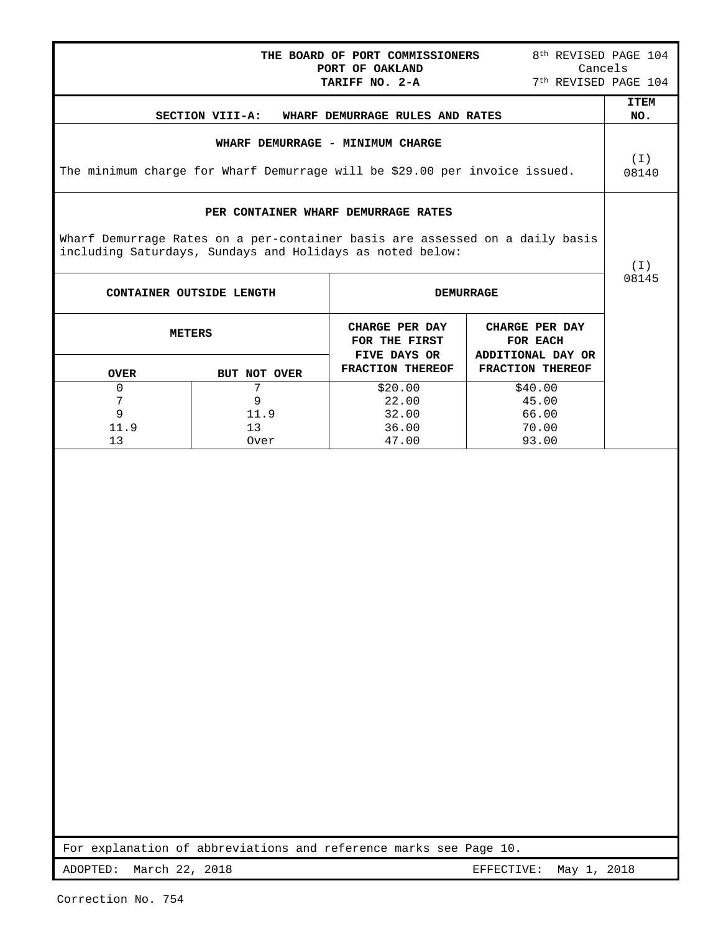|                                                                            |                                                                                                                                           | THE BOARD OF PORT COMMISSIONERS<br>PORT OF OAKLAND                  | 8 <sup>th</sup> REVISED PAGE 104                                    | Cancels            |  |  |
|----------------------------------------------------------------------------|-------------------------------------------------------------------------------------------------------------------------------------------|---------------------------------------------------------------------|---------------------------------------------------------------------|--------------------|--|--|
|                                                                            |                                                                                                                                           | TARIFF NO. 2-A                                                      | 7 <sup>th</sup> REVISED PAGE 104                                    |                    |  |  |
|                                                                            | SECTION VIII-A:                                                                                                                           | WHARF DEMURRAGE RULES AND RATES                                     |                                                                     | <b>ITEM</b><br>NO. |  |  |
|                                                                            |                                                                                                                                           | WHARF DEMURRAGE - MINIMUM CHARGE                                    |                                                                     |                    |  |  |
| The minimum charge for Wharf Demurrage will be \$29.00 per invoice issued. |                                                                                                                                           |                                                                     |                                                                     |                    |  |  |
|                                                                            |                                                                                                                                           | PER CONTAINER WHARF DEMURRAGE RATES                                 |                                                                     |                    |  |  |
|                                                                            | Wharf Demurrage Rates on a per-container basis are assessed on a daily basis<br>including Saturdays, Sundays and Holidays as noted below: |                                                                     |                                                                     | ( I )              |  |  |
|                                                                            | CONTAINER OUTSIDE LENGTH                                                                                                                  |                                                                     | <b>DEMURRAGE</b>                                                    | 08145              |  |  |
| <b>OVER</b>                                                                | <b>METERS</b><br>BUT NOT OVER                                                                                                             | CHARGE PER DAY<br>FOR THE FIRST<br>FIVE DAYS OR<br>FRACTION THEREOF | CHARGE PER DAY<br>FOR EACH<br>ADDITIONAL DAY OR<br>FRACTION THEREOF |                    |  |  |
| 0                                                                          | 7                                                                                                                                         | \$20.00                                                             | \$40.00                                                             |                    |  |  |
| 7<br>9                                                                     | 9<br>11.9                                                                                                                                 | 22.00<br>32.00                                                      | 45.00<br>66.00                                                      |                    |  |  |
| 11.9<br>13                                                                 | 13<br>Over                                                                                                                                | 36.00<br>47.00                                                      | 70.00<br>93.00                                                      |                    |  |  |
|                                                                            |                                                                                                                                           |                                                                     |                                                                     |                    |  |  |
|                                                                            | For explanation of abbreviations and reference marks see Page 10.                                                                         |                                                                     |                                                                     |                    |  |  |
| ADOPTED:                                                                   | March 22, 2018                                                                                                                            |                                                                     | May 1, 2018<br>EFFECTIVE:                                           |                    |  |  |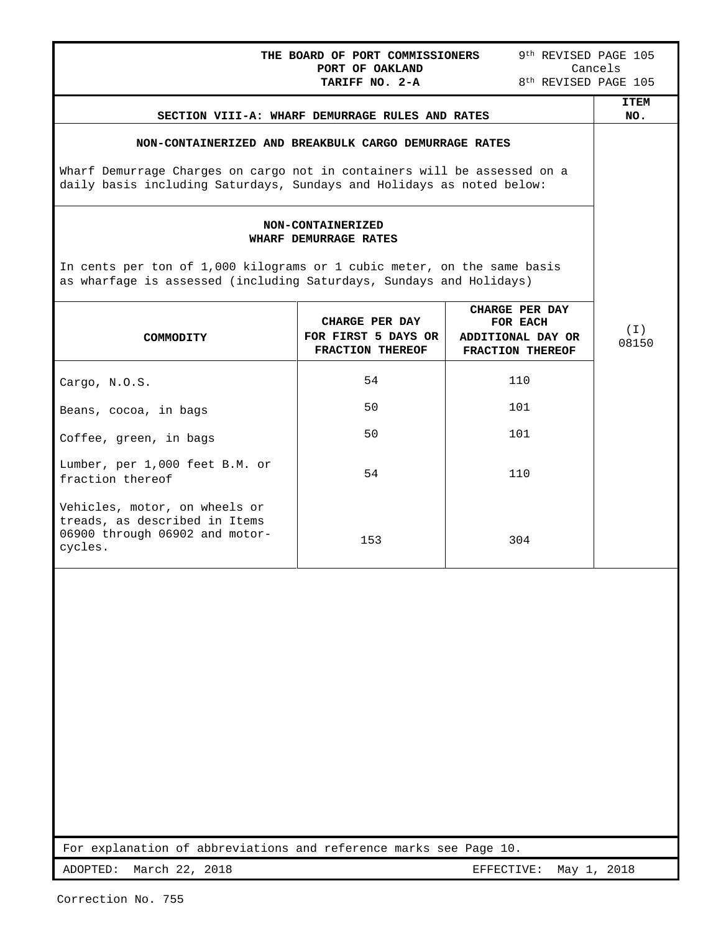| THE BOARD OF PORT COMMISSIONERS                                                                                                                | 9 <sup>th</sup> REVISED PAGE 105<br>Cancels<br>8 <sup>th</sup> REVISED PAGE 105                                                                   |                                                                     |                    |  |  |  |  |
|------------------------------------------------------------------------------------------------------------------------------------------------|---------------------------------------------------------------------------------------------------------------------------------------------------|---------------------------------------------------------------------|--------------------|--|--|--|--|
|                                                                                                                                                | TARIFF NO. 2-A<br>SECTION VIII-A: WHARF DEMURRAGE RULES AND RATES                                                                                 |                                                                     | <b>ITEM</b><br>NO. |  |  |  |  |
| NON-CONTAINERIZED AND BREAKBULK CARGO DEMURRAGE RATES                                                                                          |                                                                                                                                                   |                                                                     |                    |  |  |  |  |
|                                                                                                                                                | Wharf Demurrage Charges on cargo not in containers will be assessed on a<br>daily basis including Saturdays, Sundays and Holidays as noted below: |                                                                     |                    |  |  |  |  |
|                                                                                                                                                | NON-CONTAINERIZED<br>WHARF DEMURRAGE RATES                                                                                                        |                                                                     |                    |  |  |  |  |
| In cents per ton of 1,000 kilograms or 1 cubic meter, on the same basis<br>as wharfage is assessed (including Saturdays, Sundays and Holidays) |                                                                                                                                                   |                                                                     |                    |  |  |  |  |
| COMMODITY                                                                                                                                      | CHARGE PER DAY<br>FOR FIRST 5 DAYS OR<br>FRACTION THEREOF                                                                                         | CHARGE PER DAY<br>FOR EACH<br>ADDITIONAL DAY OR<br>FRACTION THEREOF | ( I )<br>08150     |  |  |  |  |
| Cargo, N.O.S.                                                                                                                                  | 54                                                                                                                                                | 110                                                                 |                    |  |  |  |  |
| Beans, cocoa, in bags                                                                                                                          | 50                                                                                                                                                | 101                                                                 |                    |  |  |  |  |
| Coffee, green, in bags                                                                                                                         | 50                                                                                                                                                | 101                                                                 |                    |  |  |  |  |
| Lumber, per 1,000 feet B.M. or<br>fraction thereof                                                                                             | 54                                                                                                                                                | 110                                                                 |                    |  |  |  |  |
| Vehicles, motor, on wheels or<br>treads, as described in Items<br>06900 through 06902 and motor-<br>cycles.                                    | 153                                                                                                                                               | 304                                                                 |                    |  |  |  |  |
|                                                                                                                                                |                                                                                                                                                   |                                                                     |                    |  |  |  |  |
|                                                                                                                                                |                                                                                                                                                   |                                                                     |                    |  |  |  |  |
|                                                                                                                                                |                                                                                                                                                   |                                                                     |                    |  |  |  |  |
|                                                                                                                                                |                                                                                                                                                   |                                                                     |                    |  |  |  |  |
|                                                                                                                                                |                                                                                                                                                   |                                                                     |                    |  |  |  |  |
|                                                                                                                                                |                                                                                                                                                   |                                                                     |                    |  |  |  |  |

For explanation of abbreviations and reference marks see Page 10.

ADOPTED: March 22, 2018 **EFFECTIVE:** May 1, 2018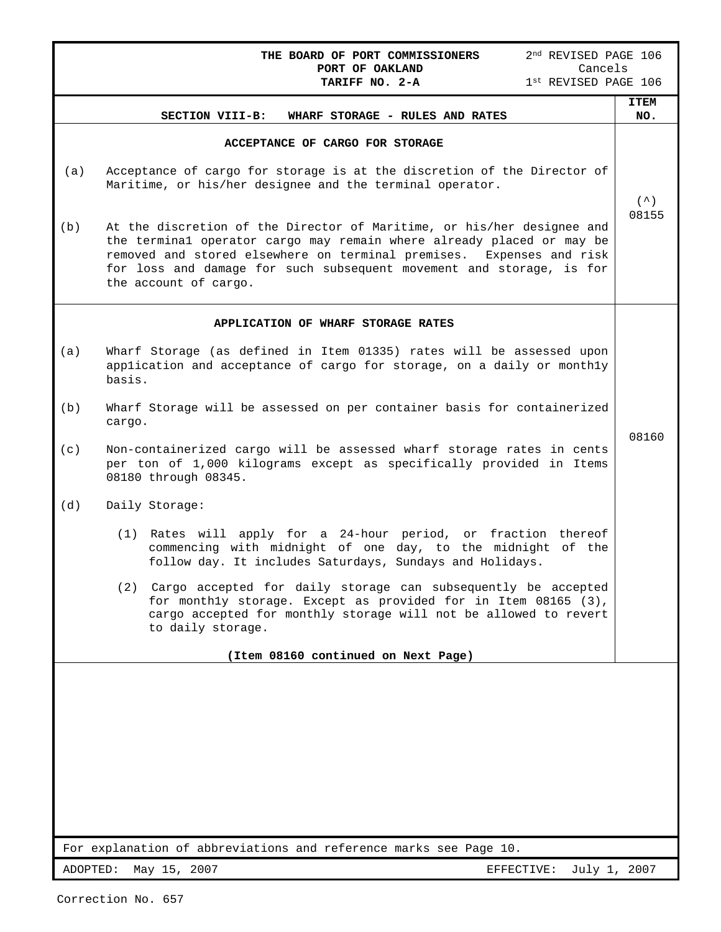|          | 2 <sup>nd</sup> REVISED PAGE 106<br>THE BOARD OF PORT COMMISSIONERS<br>PORT OF OAKLAND<br>Cancels                                                                                                                                                                                                                        |                    |  |  |  |  |
|----------|--------------------------------------------------------------------------------------------------------------------------------------------------------------------------------------------------------------------------------------------------------------------------------------------------------------------------|--------------------|--|--|--|--|
|          | TARIFF NO. 2-A<br>1st REVISED PAGE 106                                                                                                                                                                                                                                                                                   |                    |  |  |  |  |
|          | SECTION VIII-B:<br>WHARF STORAGE - RULES AND RATES                                                                                                                                                                                                                                                                       | <b>ITEM</b><br>NO. |  |  |  |  |
|          | ACCEPTANCE OF CARGO FOR STORAGE                                                                                                                                                                                                                                                                                          |                    |  |  |  |  |
| (a)      | Acceptance of cargo for storage is at the discretion of the Director of<br>Maritime, or his/her designee and the terminal operator.                                                                                                                                                                                      | $( \wedge )$       |  |  |  |  |
| (b)      | At the discretion of the Director of Maritime, or his/her designee and<br>the terminal operator cargo may remain where already placed or may be<br>removed and stored elsewhere on terminal premises. Expenses and risk<br>for loss and damage for such subsequent movement and storage, is for<br>the account of cargo. | 08155              |  |  |  |  |
|          | APPLICATION OF WHARF STORAGE RATES                                                                                                                                                                                                                                                                                       |                    |  |  |  |  |
| (a)      | Wharf Storage (as defined in Item 01335) rates will be assessed upon<br>application and acceptance of cargo for storage, on a daily or monthly<br>basis.                                                                                                                                                                 |                    |  |  |  |  |
| (b)      | Wharf Storage will be assessed on per container basis for containerized<br>cargo.                                                                                                                                                                                                                                        | 08160              |  |  |  |  |
| (c)      | Non-containerized cargo will be assessed wharf storage rates in cents<br>per ton of 1,000 kilograms except as specifically provided in Items<br>08180 through 08345.                                                                                                                                                     |                    |  |  |  |  |
| (d)      | Daily Storage:                                                                                                                                                                                                                                                                                                           |                    |  |  |  |  |
|          | (1) Rates will apply for a 24-hour period, or fraction thereof<br>commencing with midnight of one day, to the midnight of the<br>follow day. It includes Saturdays, Sundays and Holidays.                                                                                                                                |                    |  |  |  |  |
|          | (2) Cargo accepted for daily storage can subsequently be accepted<br>for monthly storage. Except as provided for in Item 08165 (3),<br>cargo accepted for monthly storage will not be allowed to revert<br>to daily storage.                                                                                             |                    |  |  |  |  |
|          | (Item 08160 continued on Next Page)                                                                                                                                                                                                                                                                                      |                    |  |  |  |  |
|          |                                                                                                                                                                                                                                                                                                                          |                    |  |  |  |  |
|          | For explanation of abbreviations and reference marks see Page 10.                                                                                                                                                                                                                                                        |                    |  |  |  |  |
| ADOPTED: | May 15, 2007<br>July 1, 2007<br>EFFECTIVE:                                                                                                                                                                                                                                                                               |                    |  |  |  |  |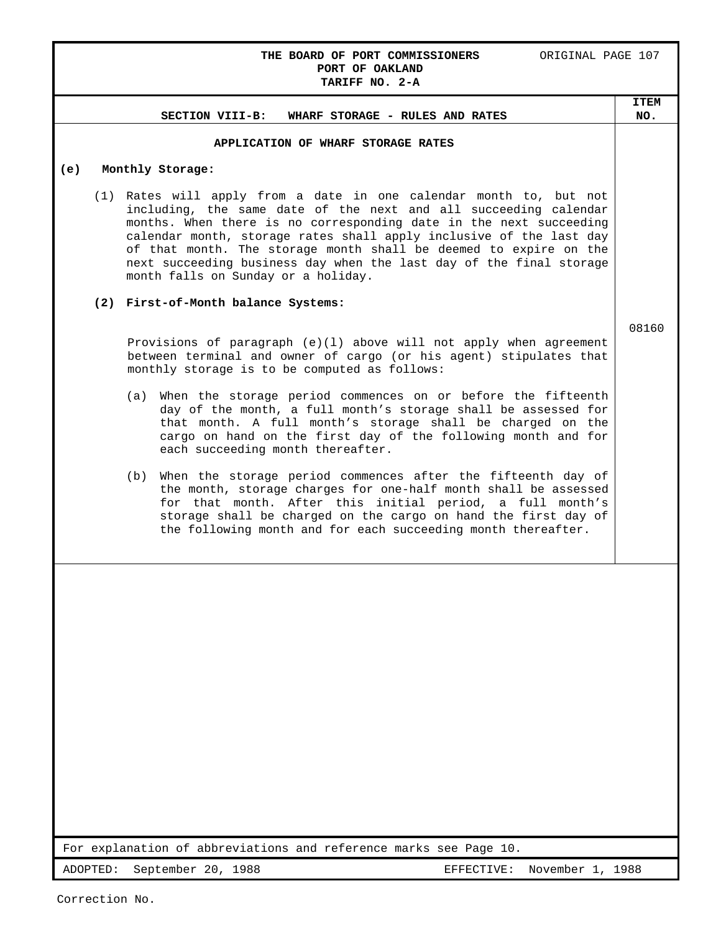# **THE BOARD OF PORT COMMISSIONERS ORIGINAL PAGE 107 PORT OF OAKLAND TARIFF NO. 2-A**

# **SECTION VIII-B: WHARF STORAGE - RULES AND RATES ITEM NO. APPLICATION OF WHARF STORAGE RATES (e) Monthly Storage:** (1) Rates will apply from a date in one calendar month to, but not including, the same date of the next and all succeeding calendar months. When there is no corresponding date in the next succeeding calendar month, storage rates shall apply inclusive of the last day of that month. The storage month shall be deemed to expire on the next succeeding business day when the last day of the final storage month falls on Sunday or a holiday. **(2) First-of-Month balance Systems:** Provisions of paragraph (e)(l) above will not apply when agreement between terminal and owner of cargo (or his agent) stipulates that monthly storage is to be computed as follows: (a) When the storage period commences on or before the fifteenth day of the month, a full month's storage shall be assessed for that month. A full month's storage shall be charged on the cargo on hand on the first day of the following month and for each succeeding month thereafter. (b) When the storage period commences after the fifteenth day of the month, storage charges for one-half month shall be assessed for that month. After this initial period, a full month's storage shall be charged on the cargo on hand the first day of the following month and for each succeeding month thereafter. 08160

For explanation of abbreviations and reference marks see Page 10.

ADOPTED: September 20, 1988 EFFECTIVE: November 1, 1988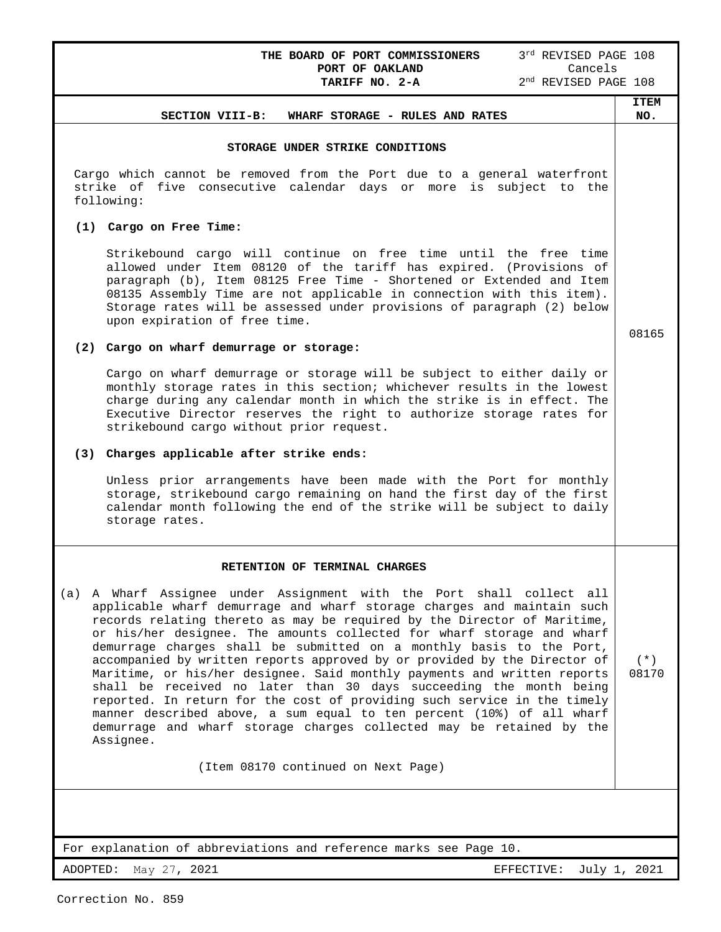THE BOARD OF PORT COMMISSIONERS 3rd REVISED PAGE 108 **PORT OF OAKLAND** Cancels

#### **SECTION VIII-B: WHARF STORAGE - RULES AND RATES**

#### **ITEM NO.**

08165

(\*) 08170

### **STORAGE UNDER STRIKE CONDITIONS**

Cargo which cannot be removed from the Port due to a general waterfront strike of five consecutive calendar days or more is subject to the following:

# **(1) Cargo on Free Time:**

Strikebound cargo will continue on free time until the free time allowed under Item 08120 of the tariff has expired. (Provisions of paragraph (b), Item 08125 Free Time - Shortened or Extended and Item 08135 Assembly Time are not applicable in connection with this item). Storage rates will be assessed under provisions of paragraph (2) below upon expiration of free time.

#### **(2) Cargo on wharf demurrage or storage:**

Cargo on wharf demurrage or storage will be subject to either daily or monthly storage rates in this section; whichever results in the lowest charge during any calendar month in which the strike is in effect. The Executive Director reserves the right to authorize storage rates for strikebound cargo without prior request.

# **(3) Charges applicable after strike ends:**

Unless prior arrangements have been made with the Port for monthly storage, strikebound cargo remaining on hand the first day of the first calendar month following the end of the strike will be subject to daily storage rates.

#### **RETENTION OF TERMINAL CHARGES**

(a) A Wharf Assignee under Assignment with the Port shall collect all applicable wharf demurrage and wharf storage charges and maintain such records relating thereto as may be required by the Director of Maritime, or his/her designee. The amounts collected for wharf storage and wharf demurrage charges shall be submitted on a monthly basis to the Port, accompanied by written reports approved by or provided by the Director of Maritime, or his/her designee. Said monthly payments and written reports shall be received no later than 30 days succeeding the month being reported. In return for the cost of providing such service in the timely manner described above, a sum equal to ten percent (10%) of all wharf demurrage and wharf storage charges collected may be retained by the Assignee.

(Item 08170 continued on Next Page)

For explanation of abbreviations and reference marks see Page 10.

ADOPTED: May 27, 2021 **EFFECTIVE:** July 1, 2021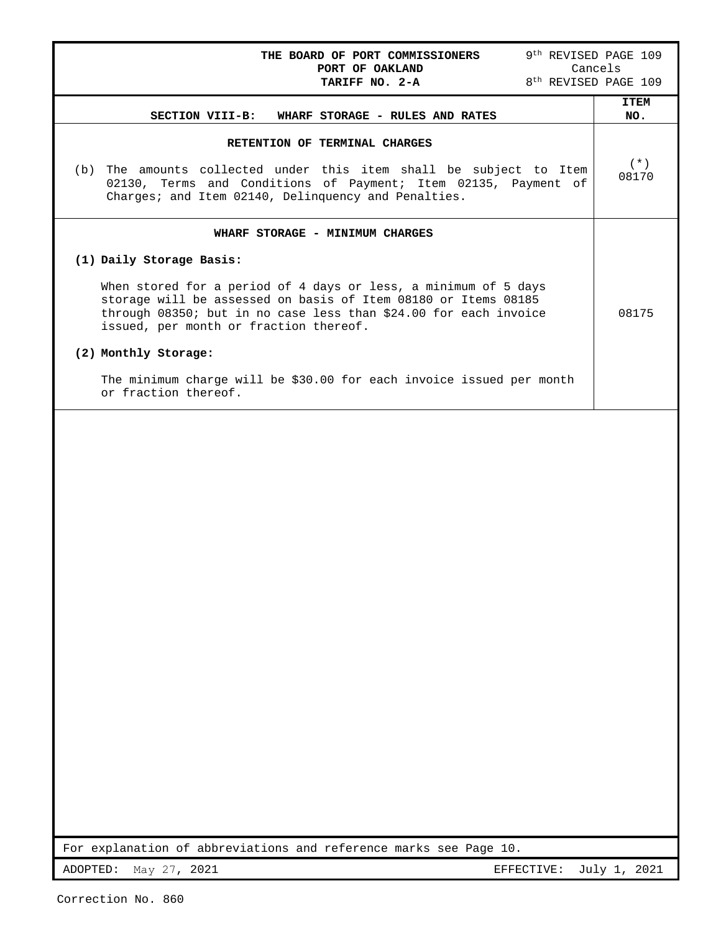| 9 <sup>th</sup> REVISED PAGE 109<br>THE BOARD OF PORT COMMISSIONERS<br>Cancels<br>PORT OF OAKLAND<br>8 <sup>th</sup> REVISED PAGE 109<br>TARIFF NO. 2-A                                                                                                                                                                                                                                                                                |                    |  |  |  |
|----------------------------------------------------------------------------------------------------------------------------------------------------------------------------------------------------------------------------------------------------------------------------------------------------------------------------------------------------------------------------------------------------------------------------------------|--------------------|--|--|--|
| SECTION VIII-B:<br>WHARF STORAGE - RULES AND RATES                                                                                                                                                                                                                                                                                                                                                                                     | <b>ITEM</b><br>NO. |  |  |  |
| RETENTION OF TERMINAL CHARGES<br>The amounts collected under this item shall be subject to Item<br>(b)<br>02130, Terms and Conditions of Payment; Item 02135, Payment of<br>Charges; and Item 02140, Delinquency and Penalties.                                                                                                                                                                                                        | $(* )$<br>08170    |  |  |  |
| WHARF STORAGE - MINIMUM CHARGES<br>(1) Daily Storage Basis:<br>When stored for a period of 4 days or less, a minimum of 5 days<br>storage will be assessed on basis of Item 08180 or Items 08185<br>through 08350; but in no case less than \$24.00 for each invoice<br>issued, per month or fraction thereof.<br>(2) Monthly Storage:<br>The minimum charge will be \$30.00 for each invoice issued per month<br>or fraction thereof. | 08175              |  |  |  |
|                                                                                                                                                                                                                                                                                                                                                                                                                                        |                    |  |  |  |

For explanation of abbreviations and reference marks see Page 10.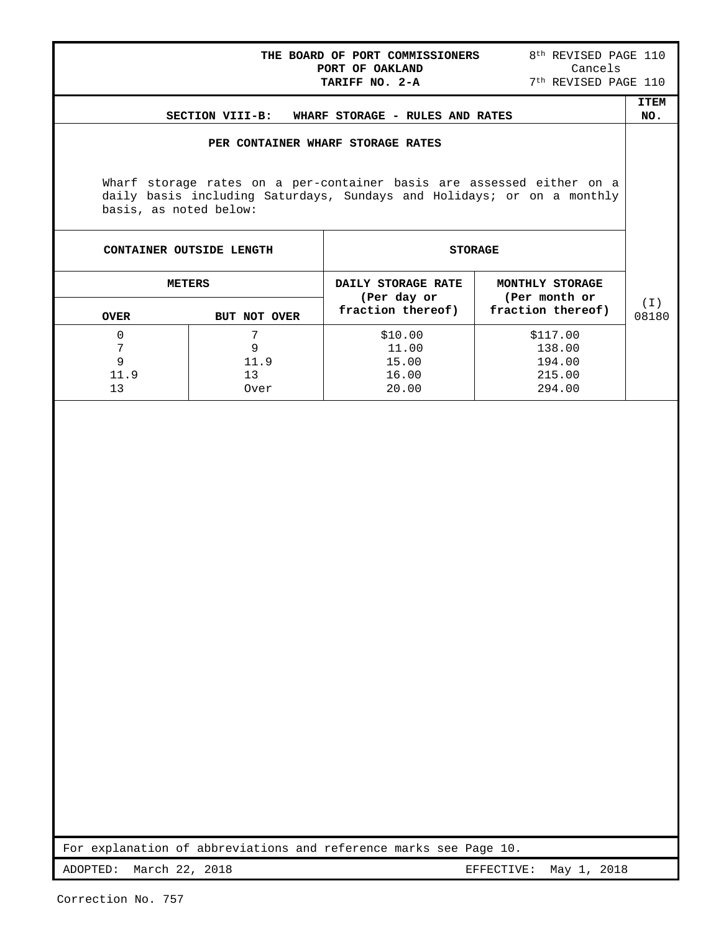| THE BOARD OF PORT COMMISSIONERS<br>PORT OF OAKLAND<br>TARIFF NO. 2-A                                                                                                      | 8 <sup>th</sup> REVISED PAGE 110<br>Cancels<br>7 <sup>th</sup> REVISED PAGE 110 |                    |
|---------------------------------------------------------------------------------------------------------------------------------------------------------------------------|---------------------------------------------------------------------------------|--------------------|
| SECTION VIII-B: WHARF STORAGE - RULES AND RATES                                                                                                                           |                                                                                 | <b>ITEM</b><br>NO. |
| PER CONTAINER WHARF STORAGE RATES                                                                                                                                         |                                                                                 |                    |
| Wharf storage rates on a per-container basis are assessed either on a<br>daily basis including Saturdays, Sundays and Holidays; or on a monthly<br>basis, as noted below: |                                                                                 |                    |

| CONTAINER OUTSIDE LENGTH |              | <b>STORAGE</b>                    |                                  |       |  |
|--------------------------|--------------|-----------------------------------|----------------------------------|-------|--|
| <b>METERS</b>            |              | DAILY STORAGE RATE<br>(Per day or | MONTHLY STORAGE<br>(Per month or | (I)   |  |
| <b>OVER</b>              | BUT NOT OVER | fraction thereof)                 | fraction thereof)                | 08180 |  |
| 0                        |              | \$10.00                           | \$117.00                         |       |  |
| 7                        | 9            | 11.00                             | 138.00                           |       |  |
| 9                        | 11.9         | 15.00                             | 194.00                           |       |  |
| 11.9                     | 13           | 16.00                             | 215.00                           |       |  |
| 13                       | Over         | 20.00                             | 294.00                           |       |  |

For explanation of abbreviations and reference marks see Page 10.

ADOPTED: March 22, 2018 **EFFECTIVE:** May 1, 2018

ŀ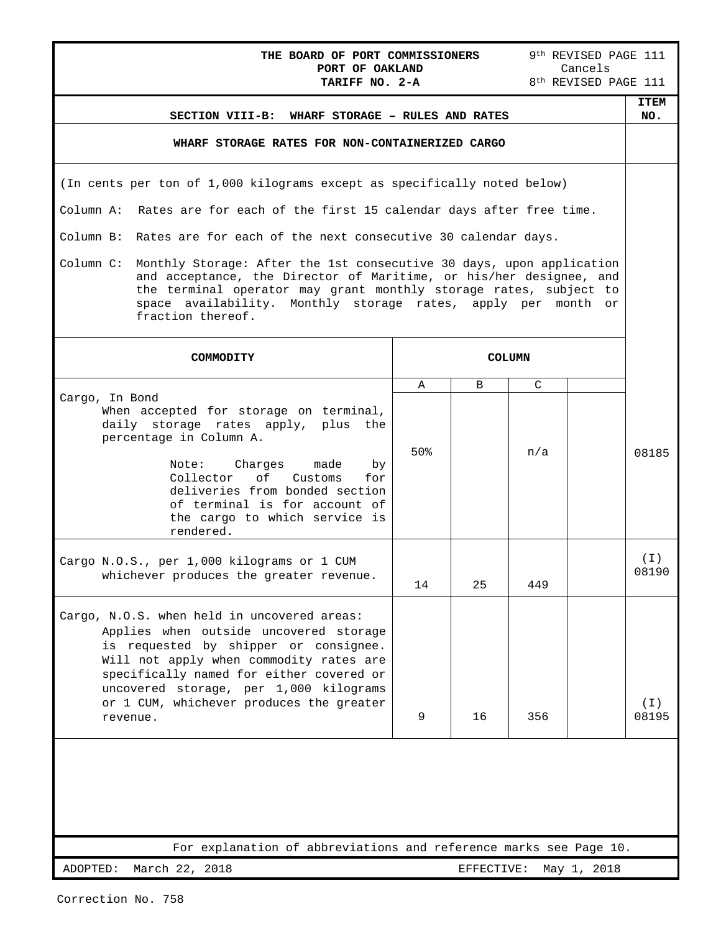| 9th REVISED PAGE 111<br>THE BOARD OF PORT COMMISSIONERS<br>PORT OF OAKLAND<br>Cancels                                                                                                                                                                                                                                   |     |    |               |  |                    |  |
|-------------------------------------------------------------------------------------------------------------------------------------------------------------------------------------------------------------------------------------------------------------------------------------------------------------------------|-----|----|---------------|--|--------------------|--|
| 8 <sup>th</sup> REVISED PAGE 111<br>TARIFF NO. 2-A                                                                                                                                                                                                                                                                      |     |    |               |  |                    |  |
| SECTION VIII-B: WHARF STORAGE - RULES AND RATES                                                                                                                                                                                                                                                                         |     |    |               |  | <b>ITEM</b><br>NO. |  |
| WHARF STORAGE RATES FOR NON-CONTAINERIZED CARGO                                                                                                                                                                                                                                                                         |     |    |               |  |                    |  |
| (In cents per ton of 1,000 kilograms except as specifically noted below)                                                                                                                                                                                                                                                |     |    |               |  |                    |  |
| Column A: Rates are for each of the first 15 calendar days after free time.                                                                                                                                                                                                                                             |     |    |               |  |                    |  |
| Column B: Rates are for each of the next consecutive 30 calendar days.                                                                                                                                                                                                                                                  |     |    |               |  |                    |  |
| Monthly Storage: After the 1st consecutive 30 days, upon application<br>Column C:<br>and acceptance, the Director of Maritime, or his/her designee, and<br>the terminal operator may grant monthly storage rates, subject to<br>space availability. Monthly storage rates, apply per month or<br>fraction thereof.      |     |    |               |  |                    |  |
| COMMODITY                                                                                                                                                                                                                                                                                                               |     |    | <b>COLUMN</b> |  |                    |  |
|                                                                                                                                                                                                                                                                                                                         | Α   | B  | $\mathcal{C}$ |  |                    |  |
| Cargo, In Bond<br>When accepted for storage on terminal,<br>daily storage rates apply, plus the<br>percentage in Column A.<br>Note: Charges<br>made<br>by<br>Collector of<br>Customs<br>for<br>deliveries from bonded section<br>of terminal is for account of<br>the cargo to which service is<br>rendered.            | 50% |    | n/a           |  | 08185              |  |
| Cargo N.O.S., per 1,000 kilograms or 1 CUM<br>whichever produces the greater revenue.                                                                                                                                                                                                                                   | 14  | 25 | 449           |  | $(\top)$<br>08190  |  |
| Cargo, N.O.S. when held in uncovered areas:<br>Applies when outside uncovered storage<br>is requested by shipper or consignee.<br>Will not apply when commodity rates are<br>specifically named for either covered or<br>uncovered storage, per 1,000 kilograms<br>or 1 CUM, whichever produces the greater<br>revenue. | 9   | 16 | 356           |  | ( I )<br>08195     |  |
|                                                                                                                                                                                                                                                                                                                         |     |    |               |  |                    |  |
| For explanation of abbreviations and reference marks see Page 10.                                                                                                                                                                                                                                                       |     |    |               |  |                    |  |
| ADOPTED:<br>March 22, 2018<br>EFFECTIVE:<br>May 1, 2018                                                                                                                                                                                                                                                                 |     |    |               |  |                    |  |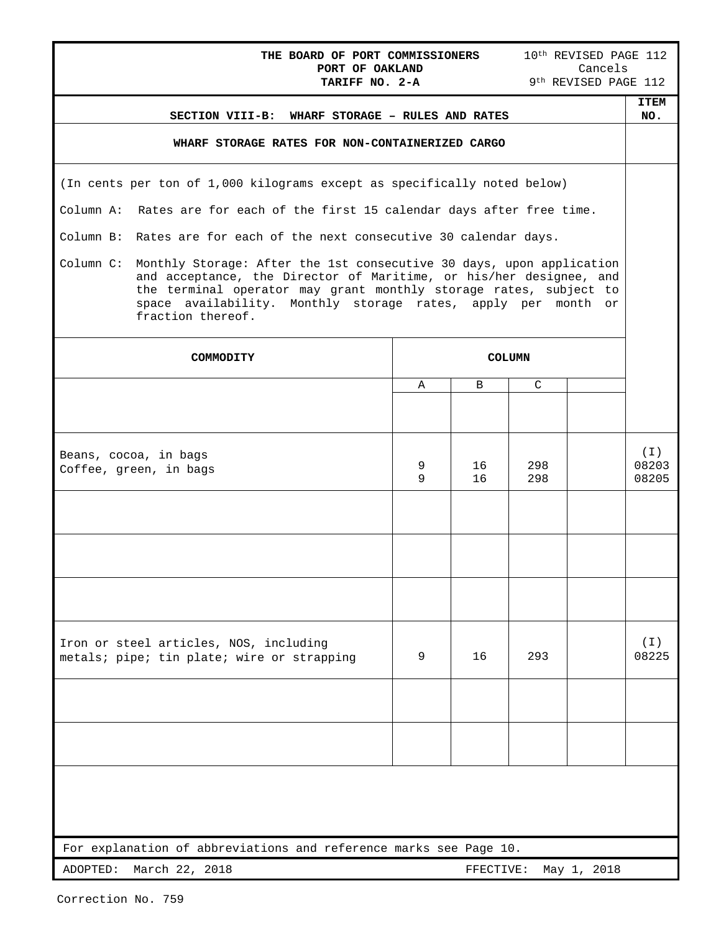| 10 <sup>th</sup> REVISED PAGE 112<br>THE BOARD OF PORT COMMISSIONERS<br>PORT OF OAKLAND<br>Cancels<br>9th REVISED PAGE 112<br>TARIFF NO. 2-A                                                                                                                                                                       |                                                                                      |        |          |               |  |                            |
|--------------------------------------------------------------------------------------------------------------------------------------------------------------------------------------------------------------------------------------------------------------------------------------------------------------------|--------------------------------------------------------------------------------------|--------|----------|---------------|--|----------------------------|
|                                                                                                                                                                                                                                                                                                                    | SECTION VIII-B: WHARF STORAGE - RULES AND RATES                                      |        |          |               |  | <b>ITEM</b><br>NO.         |
|                                                                                                                                                                                                                                                                                                                    | WHARF STORAGE RATES FOR NON-CONTAINERIZED CARGO                                      |        |          |               |  |                            |
|                                                                                                                                                                                                                                                                                                                    | (In cents per ton of 1,000 kilograms except as specifically noted below)             |        |          |               |  |                            |
|                                                                                                                                                                                                                                                                                                                    | Column A: Rates are for each of the first 15 calendar days after free time.          |        |          |               |  |                            |
|                                                                                                                                                                                                                                                                                                                    | Column B: Rates are for each of the next consecutive 30 calendar days.               |        |          |               |  |                            |
| Column C:<br>Monthly Storage: After the 1st consecutive 30 days, upon application<br>and acceptance, the Director of Maritime, or his/her designee, and<br>the terminal operator may grant monthly storage rates, subject to<br>space availability. Monthly storage rates, apply per month or<br>fraction thereof. |                                                                                      |        |          |               |  |                            |
|                                                                                                                                                                                                                                                                                                                    | COMMODITY                                                                            |        |          | <b>COLUMN</b> |  |                            |
|                                                                                                                                                                                                                                                                                                                    |                                                                                      | A      | B        | C             |  |                            |
|                                                                                                                                                                                                                                                                                                                    |                                                                                      |        |          |               |  |                            |
|                                                                                                                                                                                                                                                                                                                    | Beans, cocoa, in bags<br>Coffee, green, in bags                                      | 9<br>9 | 16<br>16 | 298<br>298    |  | $(\top)$<br>08203<br>08205 |
|                                                                                                                                                                                                                                                                                                                    |                                                                                      |        |          |               |  |                            |
|                                                                                                                                                                                                                                                                                                                    |                                                                                      |        |          |               |  |                            |
|                                                                                                                                                                                                                                                                                                                    |                                                                                      |        |          |               |  |                            |
|                                                                                                                                                                                                                                                                                                                    | Iron or steel articles, NOS, including<br>metals; pipe; tin plate; wire or strapping | 9      | 16       | 293           |  | ( I )<br>08225             |
|                                                                                                                                                                                                                                                                                                                    |                                                                                      |        |          |               |  |                            |
|                                                                                                                                                                                                                                                                                                                    |                                                                                      |        |          |               |  |                            |
|                                                                                                                                                                                                                                                                                                                    |                                                                                      |        |          |               |  |                            |
|                                                                                                                                                                                                                                                                                                                    | For explanation of abbreviations and reference marks see Page 10.                    |        |          |               |  |                            |
| March 22, 2018<br>ADOPTED:<br>FFECTIVE:<br>May 1, 2018                                                                                                                                                                                                                                                             |                                                                                      |        |          |               |  |                            |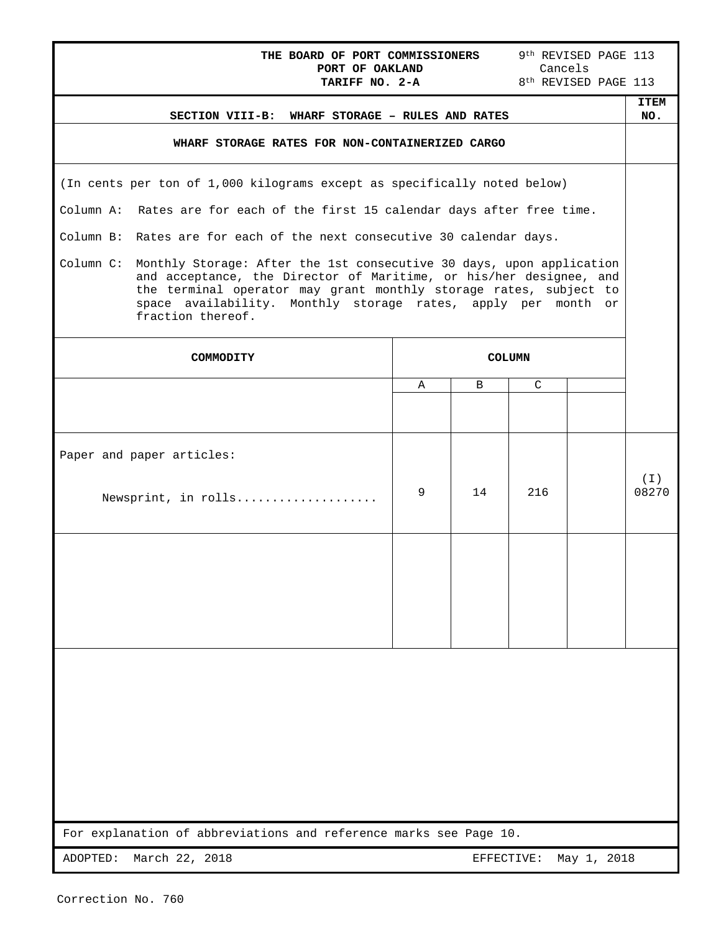| 9 <sup>th</sup> REVISED PAGE 113<br>THE BOARD OF PORT COMMISSIONERS<br>Cancels<br>PORT OF OAKLAND<br>8 <sup>th</sup> REVISED PAGE 113<br>TARIFF NO. 2-A |                                                                                                                                                                                                                                                                                                       |   |            |               |             |                    |
|---------------------------------------------------------------------------------------------------------------------------------------------------------|-------------------------------------------------------------------------------------------------------------------------------------------------------------------------------------------------------------------------------------------------------------------------------------------------------|---|------------|---------------|-------------|--------------------|
|                                                                                                                                                         | SECTION VIII-B: WHARF STORAGE - RULES AND RATES                                                                                                                                                                                                                                                       |   |            |               |             | <b>ITEM</b><br>NO. |
|                                                                                                                                                         | WHARF STORAGE RATES FOR NON-CONTAINERIZED CARGO                                                                                                                                                                                                                                                       |   |            |               |             |                    |
|                                                                                                                                                         |                                                                                                                                                                                                                                                                                                       |   |            |               |             |                    |
|                                                                                                                                                         | (In cents per ton of 1,000 kilograms except as specifically noted below)                                                                                                                                                                                                                              |   |            |               |             |                    |
|                                                                                                                                                         | Column A: Rates are for each of the first 15 calendar days after free time.                                                                                                                                                                                                                           |   |            |               |             |                    |
|                                                                                                                                                         | Column B: Rates are for each of the next consecutive 30 calendar days.                                                                                                                                                                                                                                |   |            |               |             |                    |
| Column C:                                                                                                                                               | Monthly Storage: After the 1st consecutive 30 days, upon application<br>and acceptance, the Director of Maritime, or his/her designee, and<br>the terminal operator may grant monthly storage rates, subject to<br>space availability. Monthly storage rates, apply per month or<br>fraction thereof. |   |            |               |             |                    |
|                                                                                                                                                         | COMMODITY                                                                                                                                                                                                                                                                                             |   |            | <b>COLUMN</b> |             |                    |
|                                                                                                                                                         |                                                                                                                                                                                                                                                                                                       | Α | B          | $\mathsf{C}$  |             |                    |
|                                                                                                                                                         |                                                                                                                                                                                                                                                                                                       |   |            |               |             |                    |
|                                                                                                                                                         | Paper and paper articles:                                                                                                                                                                                                                                                                             |   |            |               |             |                    |
|                                                                                                                                                         | Newsprint, in rolls                                                                                                                                                                                                                                                                                   | 9 | 14         | 216           |             | ( I )<br>08270     |
|                                                                                                                                                         |                                                                                                                                                                                                                                                                                                       |   |            |               |             |                    |
|                                                                                                                                                         |                                                                                                                                                                                                                                                                                                       |   |            |               |             |                    |
|                                                                                                                                                         |                                                                                                                                                                                                                                                                                                       |   |            |               |             |                    |
|                                                                                                                                                         |                                                                                                                                                                                                                                                                                                       |   |            |               |             |                    |
|                                                                                                                                                         |                                                                                                                                                                                                                                                                                                       |   |            |               |             |                    |
|                                                                                                                                                         |                                                                                                                                                                                                                                                                                                       |   |            |               |             |                    |
|                                                                                                                                                         |                                                                                                                                                                                                                                                                                                       |   |            |               |             |                    |
|                                                                                                                                                         |                                                                                                                                                                                                                                                                                                       |   |            |               |             |                    |
|                                                                                                                                                         |                                                                                                                                                                                                                                                                                                       |   |            |               |             |                    |
|                                                                                                                                                         |                                                                                                                                                                                                                                                                                                       |   |            |               |             |                    |
|                                                                                                                                                         | For explanation of abbreviations and reference marks see Page 10.                                                                                                                                                                                                                                     |   |            |               |             |                    |
| ADOPTED:                                                                                                                                                | March 22, 2018                                                                                                                                                                                                                                                                                        |   | EFFECTIVE: |               | May 1, 2018 |                    |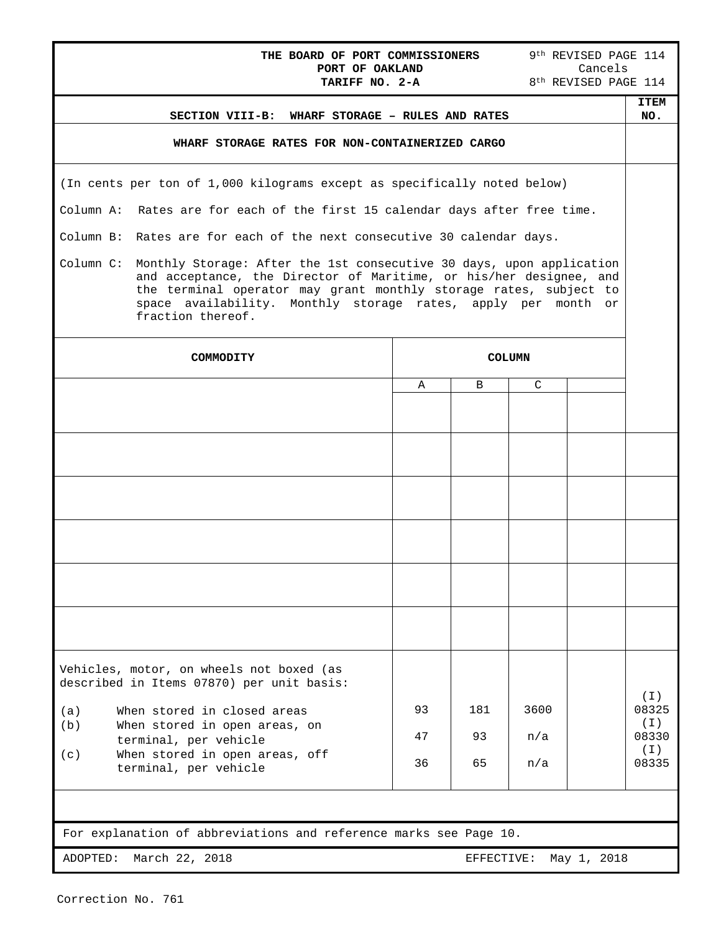| THE BOARD OF PORT COMMISSIONERS<br>PORT OF OAKLAND<br>TARIFF NO. 2-A                                                                                                                                                                                                                                               |               |     |      |  | 9 <sup>th</sup> REVISED PAGE 114<br>Cancels |  |  |
|--------------------------------------------------------------------------------------------------------------------------------------------------------------------------------------------------------------------------------------------------------------------------------------------------------------------|---------------|-----|------|--|---------------------------------------------|--|--|
|                                                                                                                                                                                                                                                                                                                    |               |     |      |  | 8 <sup>th</sup> REVISED PAGE 114            |  |  |
| SECTION VIII-B: WHARF STORAGE - RULES AND RATES                                                                                                                                                                                                                                                                    |               |     |      |  | <b>ITEM</b><br>NO.                          |  |  |
| WHARF STORAGE RATES FOR NON-CONTAINERIZED CARGO                                                                                                                                                                                                                                                                    |               |     |      |  |                                             |  |  |
| (In cents per ton of 1,000 kilograms except as specifically noted below)                                                                                                                                                                                                                                           |               |     |      |  |                                             |  |  |
| Column A: Rates are for each of the first 15 calendar days after free time.                                                                                                                                                                                                                                        |               |     |      |  |                                             |  |  |
| Column B: Rates are for each of the next consecutive 30 calendar days.                                                                                                                                                                                                                                             |               |     |      |  |                                             |  |  |
| Column C:<br>Monthly Storage: After the 1st consecutive 30 days, upon application<br>and acceptance, the Director of Maritime, or his/her designee, and<br>the terminal operator may grant monthly storage rates, subject to<br>space availability. Monthly storage rates, apply per month or<br>fraction thereof. |               |     |      |  |                                             |  |  |
| COMMODITY                                                                                                                                                                                                                                                                                                          | <b>COLUMN</b> |     |      |  |                                             |  |  |
|                                                                                                                                                                                                                                                                                                                    | Α             | B   | C    |  |                                             |  |  |
|                                                                                                                                                                                                                                                                                                                    |               |     |      |  |                                             |  |  |
|                                                                                                                                                                                                                                                                                                                    |               |     |      |  |                                             |  |  |
|                                                                                                                                                                                                                                                                                                                    |               |     |      |  |                                             |  |  |
|                                                                                                                                                                                                                                                                                                                    |               |     |      |  |                                             |  |  |
|                                                                                                                                                                                                                                                                                                                    |               |     |      |  |                                             |  |  |
|                                                                                                                                                                                                                                                                                                                    |               |     |      |  |                                             |  |  |
| Vehicles, motor, on wheels not boxed (as<br>described in Items 07870) per unit basis:                                                                                                                                                                                                                              |               |     |      |  |                                             |  |  |
| When stored in closed areas<br>(a)                                                                                                                                                                                                                                                                                 | 93            | 181 | 3600 |  | ( I )<br>08325                              |  |  |
| When stored in open areas, on<br>(b)<br>terminal, per vehicle                                                                                                                                                                                                                                                      | 47            | 93  | n/a  |  | $(\top)$<br>08330                           |  |  |
| When stored in open areas, off<br>(c)<br>terminal, per vehicle                                                                                                                                                                                                                                                     | 36            | 65  | n/a  |  | (I)<br>08335                                |  |  |
|                                                                                                                                                                                                                                                                                                                    |               |     |      |  |                                             |  |  |
| For explanation of abbreviations and reference marks see Page 10.                                                                                                                                                                                                                                                  |               |     |      |  |                                             |  |  |
| March 22, 2018<br>May 1, 2018<br>ADOPTED:<br>EFFECTIVE:                                                                                                                                                                                                                                                            |               |     |      |  |                                             |  |  |